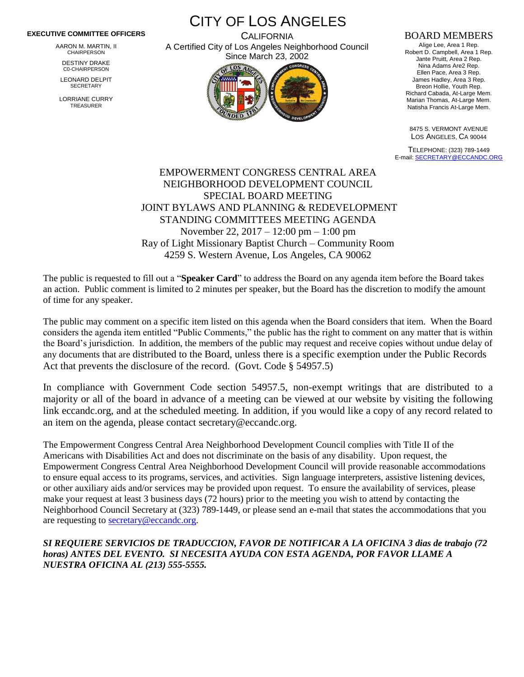## **EXECUTIVE COMMITTEE OFFICERS**

AARON M. MARTIN, II CHAIRPERSON

DESTINY DRAKE C0-CHAIRPERSON

LEONARD DELPIT **SECRETARY** 

LORRIANE CURRY TREASURER

CITY OF LOS ANGELES **CALIFORNIA** A Certified City of Los Angeles Neighborhood Council

Since March 23, 2002

## BOARD MEMBERS

Alige Lee, Area 1 Rep. Robert D. Campbell, Area 1 Rep. Jante Pruitt, Area 2 Rep. Nina Adams Are2 Rep. Ellen Pace, Area 3 Rep. James Hadley, Area 3 Rep. Breon Hollie, Youth Rep. Richard Cabada, At-Large Mem. Marian Thomas, At-Large Mem. Natisha Francis At-Large Mem.

8475 S. VERMONT AVENUE LOS ANGELES, CA 90044

TELEPHONE: (323) 789-1449 E-mail[: SECRETARY@ECCANDC.ORG](mailto:SECRETARY@ECCANDC.ORG)

## EMPOWERMENT CONGRESS CENTRAL AREA NEIGHBORHOOD DEVELOPMENT COUNCIL SPECIAL BOARD MEETING JOINT BYLAWS AND PLANNING & REDEVELOPMENT STANDING COMMITTEES MEETING AGENDA November 22, 2017 – 12:00 pm – 1:00 pm Ray of Light Missionary Baptist Church – Community Room 4259 S. Western Avenue, Los Angeles, CA 90062

The public is requested to fill out a "**Speaker Card**" to address the Board on any agenda item before the Board takes an action. Public comment is limited to 2 minutes per speaker, but the Board has the discretion to modify the amount of time for any speaker.

The public may comment on a specific item listed on this agenda when the Board considers that item. When the Board considers the agenda item entitled "Public Comments," the public has the right to comment on any matter that is within the Board's jurisdiction. In addition, the members of the public may request and receive copies without undue delay of any documents that are distributed to the Board, unless there is a specific exemption under the Public Records Act that prevents the disclosure of the record. (Govt. Code § 54957.5)

In compliance with Government Code section 54957.5, non-exempt writings that are distributed to a majority or all of the board in advance of a meeting can be viewed at our website by visiting the following link eccandc.org, and at the scheduled meeting. In addition, if you would like a copy of any record related to an item on the agenda, please contact secretary@eccandc.org.

The Empowerment Congress Central Area Neighborhood Development Council complies with Title II of the Americans with Disabilities Act and does not discriminate on the basis of any disability. Upon request, the Empowerment Congress Central Area Neighborhood Development Council will provide reasonable accommodations to ensure equal access to its programs, services, and activities. Sign language interpreters, assistive listening devices, or other auxiliary aids and/or services may be provided upon request. To ensure the availability of services, please make your request at least 3 business days (72 hours) prior to the meeting you wish to attend by contacting the Neighborhood Council Secretary at (323) 789-1449, or please send an e-mail that states the accommodations that you are requesting to [secretary@eccandc.org.](mailto:secretary@eccandc.org)

## *SI REQUIERE SERVICIOS DE TRADUCCION, FAVOR DE NOTIFICAR A LA OFICINA 3 dias de trabajo (72 horas) ANTES DEL EVENTO. SI NECESITA AYUDA CON ESTA AGENDA, POR FAVOR LLAME A NUESTRA OFICINA AL (213) 555-5555.*